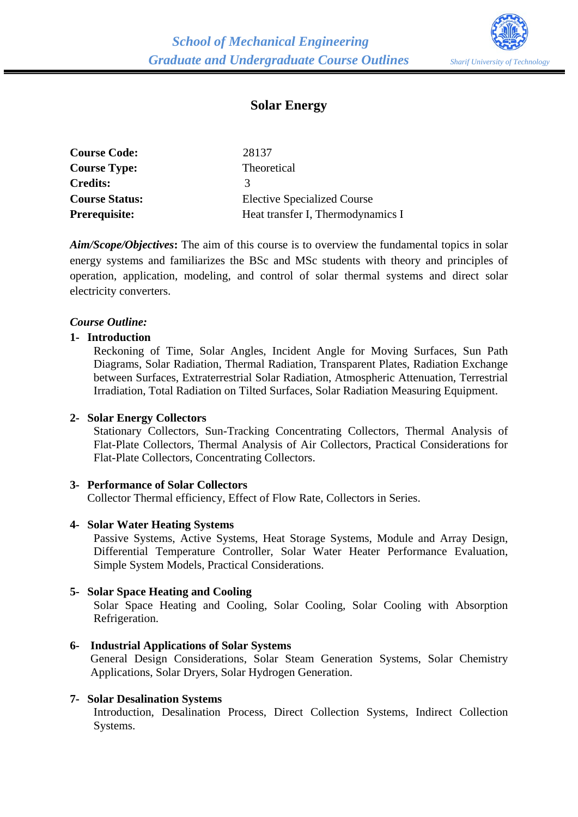

# **Solar Energy**

| <b>Course Code:</b>   | 28137                              |
|-----------------------|------------------------------------|
| <b>Course Type:</b>   | Theoretical                        |
| <b>Credits:</b>       | $\mathbf{z}$                       |
| <b>Course Status:</b> | <b>Elective Specialized Course</b> |
| Prerequisite:         | Heat transfer I, Thermodynamics I  |

*Aim/Scope/Objectives***:** The aim of this course is to overview the fundamental topics in solar energy systems and familiarizes the BSc and MSc students with theory and principles of operation, application, modeling, and control of solar thermal systems and direct solar electricity converters.

## *Course Outline:*

#### **1- Introduction**

Reckoning of Time, Solar Angles, Incident Angle for Moving Surfaces, Sun Path Diagrams, Solar Radiation, Thermal Radiation, Transparent Plates, Radiation Exchange between Surfaces, Extraterrestrial Solar Radiation, Atmospheric Attenuation, Terrestrial Irradiation, Total Radiation on Tilted Surfaces, Solar Radiation Measuring Equipment.

#### **2- Solar Energy Collectors**

Stationary Collectors, Sun-Tracking Concentrating Collectors, Thermal Analysis of Flat-Plate Collectors, Thermal Analysis of Air Collectors, Practical Considerations for Flat-Plate Collectors, Concentrating Collectors.

#### **3- Performance of Solar Collectors**

Collector Thermal efficiency, Effect of Flow Rate, Collectors in Series.

#### **4- Solar Water Heating Systems**

Passive Systems, Active Systems, Heat Storage Systems, Module and Array Design, Differential Temperature Controller, Solar Water Heater Performance Evaluation, Simple System Models, Practical Considerations.

#### **5- Solar Space Heating and Cooling**

Solar Space Heating and Cooling, Solar Cooling, Solar Cooling with Absorption Refrigeration.

#### **6- Industrial Applications of Solar Systems**

General Design Considerations, Solar Steam Generation Systems, Solar Chemistry Applications, Solar Dryers, Solar Hydrogen Generation.

#### **7- Solar Desalination Systems**

Introduction, Desalination Process, Direct Collection Systems, Indirect Collection Systems.